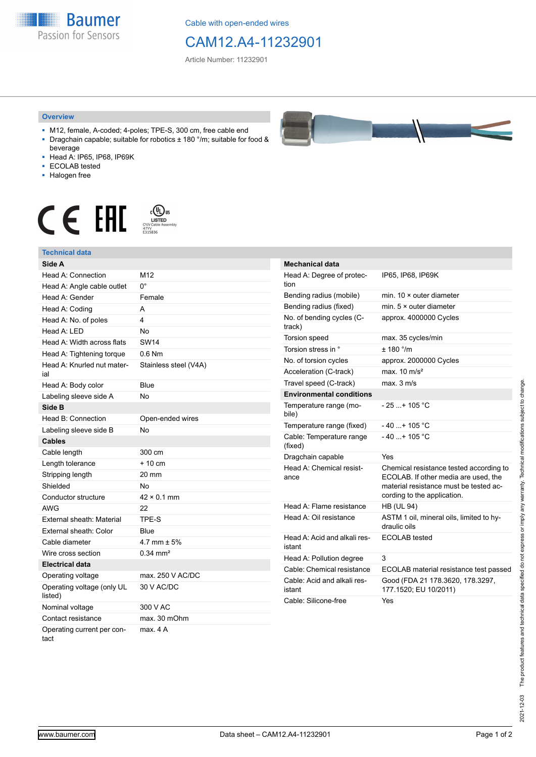**Baumer** Passion for Sensors

Cable with open-ended wires

## CAM12.A4-11232901

Article Number: 11232901

## **Overview**

- M12, female, A-coded; 4-poles; TPE-S, 300 cm, free cable end ■ Dragchain capable; suitable for robotics ± 180 °/m; suitable for food &
- beverage ■ Head A: IP65, IP68, IP69K
- ECOLAB tested
- Halogen free
- 

**Technical data**

## $\begin{array}{ccc} \textbf{C} & \textbf{F} & \overset{\text{\tiny{c}}\textbf{(I)}\text{US}}{\textcolor{blue}{\textbf{N}}\text{USL}}\\ \textbf{F} & \overset{\text{\tiny{c}}\textbf{(I)}\text{USL}}{\textcolor{blue}{\textbf{N}}\text{USL}}\\ \textbf{F} & \overset{\text{\tiny{c}}\textbf{(I)}\text{USL}}{\textcolor{blue}{\textbf{N}}\text{USL}}\\ \end{array}$



| Side A                                |                       |
|---------------------------------------|-----------------------|
| Head A: Connection                    | M12                   |
| Head A: Angle cable outlet            | U.                    |
| Head A: Gender                        | Female                |
| Head A: Coding                        | A                     |
| Head A: No. of poles                  | 4                     |
| Head A: LED                           | No                    |
| Head A: Width across flats            | <b>SW14</b>           |
| Head A: Tightening torque             | $0.6$ Nm              |
| Head A: Knurled nut mater-<br>ial     | Stainless steel (V4A) |
| Head A: Body color                    | <b>Blue</b>           |
| Labeling sleeve side A                | No                    |
| Side B                                |                       |
| Head B: Connection                    | Open-ended wires      |
| Labeling sleeve side B                | No                    |
| <b>Cables</b>                         |                       |
| Cable length                          | 300 cm                |
| Length tolerance                      | $+10cm$               |
| Stripping length                      | 20 mm                 |
| Shielded                              | No                    |
| Conductor structure                   | $42 \times 0.1$ mm    |
| AWG                                   | 22                    |
| External sheath: Material             | TPE-S                 |
| External sheath: Color                | Blue                  |
| Cable diameter                        | 4.7 mm $\pm$ 5%       |
| Wire cross section                    | $0.34 \, \text{mm}^2$ |
| <b>Electrical data</b>                |                       |
| Operating voltage                     | max. 250 V AC/DC      |
| Operating voltage (only UL<br>listed) | 30 V AC/DC            |
| Nominal voltage                       | 300 V AC              |
| Contact resistance                    | max. 30 mOhm          |
| Operating current per con-<br>tact    | max. 4 A              |



| <b>Mechanical data</b>                 |                                                                                                                                                          |
|----------------------------------------|----------------------------------------------------------------------------------------------------------------------------------------------------------|
| Head A: Degree of protec-<br>tion      | IP65, IP68, IP69K                                                                                                                                        |
| Bending radius (mobile)                | min. $10 \times$ outer diameter                                                                                                                          |
| Bending radius (fixed)                 | min. $5 \times$ outer diameter                                                                                                                           |
| No. of bending cycles (C-<br>track)    | approx. 4000000 Cycles                                                                                                                                   |
| Torsion speed                          | max. 35 cycles/min                                                                                                                                       |
| Torsion stress in °                    | ± 180 °/m                                                                                                                                                |
| No. of torsion cycles                  | approx. 2000000 Cycles                                                                                                                                   |
| Acceleration (C-track)                 | max. $10 \text{ m/s}^2$                                                                                                                                  |
| Travel speed (C-track)                 | max. 3 m/s                                                                                                                                               |
| <b>Environmental conditions</b>        |                                                                                                                                                          |
| Temperature range (mo-<br>bile)        | - 25 + 105 °C                                                                                                                                            |
| Temperature range (fixed)              | $-40+105 °C$                                                                                                                                             |
| Cable: Temperature range<br>(fixed)    | $-40+105$ °C                                                                                                                                             |
| Dragchain capable                      | Yes                                                                                                                                                      |
| Head A: Chemical resist-<br>ance       | Chemical resistance tested according to<br>ECOLAB. If other media are used, the<br>material resistance must be tested ac-<br>cording to the application. |
| Head A: Flame resistance               | <b>HB (UL 94)</b>                                                                                                                                        |
| Head A: Oil resistance                 | ASTM 1 oil, mineral oils, limited to hy-<br>draulic oils                                                                                                 |
| Head A: Acid and alkali res-<br>istant | ECOLAB tested                                                                                                                                            |
| Head A: Pollution degree               | 3                                                                                                                                                        |
| Cable: Chemical resistance             | ECOLAB material resistance test passed                                                                                                                   |
| Cable: Acid and alkali res-<br>istant  | Good (FDA 21 178.3620, 178.3297,<br>177.1520; EU 10/2011)                                                                                                |
| Cable: Silicone-free                   | Yes                                                                                                                                                      |